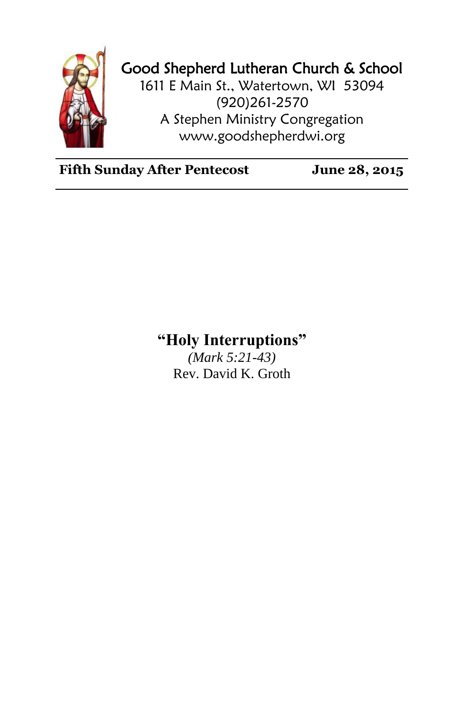

## Good Shepherd Lutheran Church & School

1611 E Main St., Watertown, WI 53094 (920)261-2570 A Stephen Ministry Congregation [www.goodshepherdwi.org](http://www.goodshepherdwi.org/)

**Fifth Sunday After Pentecost June 28, 2015**

## **"Holy Interruptions"**

*(Mark 5:21-43)* Rev. David K. Groth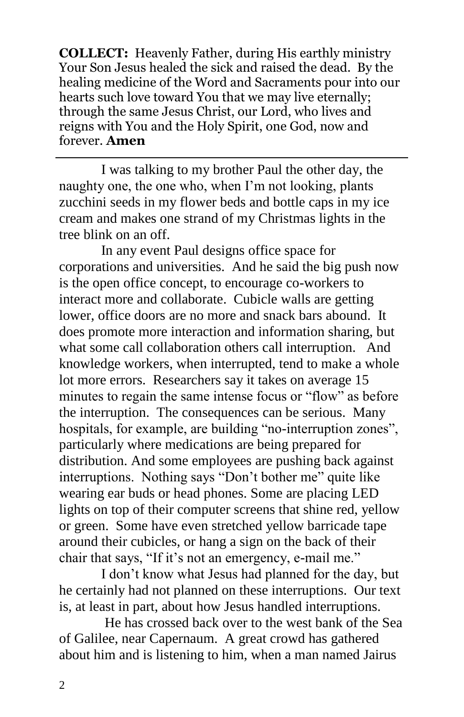**COLLECT:** Heavenly Father, during His earthly ministry Your Son Jesus healed the sick and raised the dead. By the healing medicine of the Word and Sacraments pour into our hearts such love toward You that we may live eternally; through the same Jesus Christ, our Lord, who lives and reigns with You and the Holy Spirit, one God, now and forever. **Amen**

I was talking to my brother Paul the other day, the naughty one, the one who, when I'm not looking, plants zucchini seeds in my flower beds and bottle caps in my ice cream and makes one strand of my Christmas lights in the tree blink on an off.

In any event Paul designs office space for corporations and universities. And he said the big push now is the open office concept, to encourage co-workers to interact more and collaborate. Cubicle walls are getting lower, office doors are no more and snack bars abound. It does promote more interaction and information sharing, but what some call collaboration others call interruption. And knowledge workers, when interrupted, tend to make a whole lot more errors. Researchers say it takes on average 15 minutes to regain the same intense focus or "flow" as before the interruption. The consequences can be serious. Many hospitals, for example, are building "no-interruption zones", particularly where medications are being prepared for distribution. And some employees are pushing back against interruptions. Nothing says "Don't bother me" quite like wearing ear buds or head phones. Some are placing LED lights on top of their computer screens that shine red, yellow or green. Some have even stretched yellow barricade tape around their cubicles, or hang a sign on the back of their chair that says, "If it's not an emergency, e-mail me."

I don't know what Jesus had planned for the day, but he certainly had not planned on these interruptions. Our text is, at least in part, about how Jesus handled interruptions.

He has crossed back over to the west bank of the Sea of Galilee, near Capernaum. A great crowd has gathered about him and is listening to him, when a man named Jairus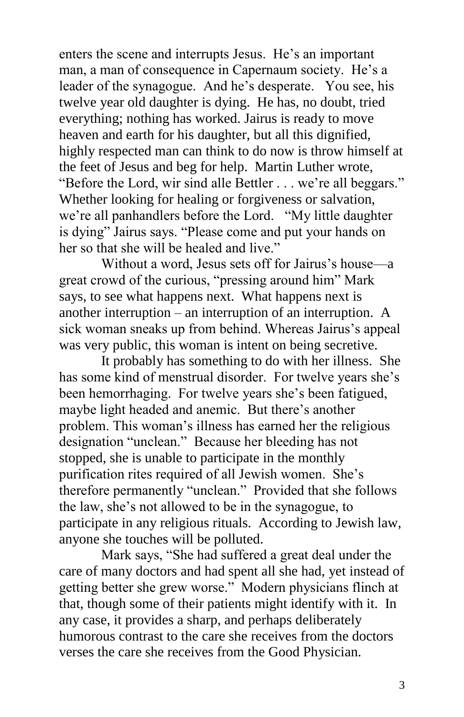enters the scene and interrupts Jesus. He's an important man, a man of consequence in Capernaum society. He's a leader of the synagogue. And he's desperate. You see, his twelve year old daughter is dying. He has, no doubt, tried everything; nothing has worked. Jairus is ready to move heaven and earth for his daughter, but all this dignified, highly respected man can think to do now is throw himself at the feet of Jesus and beg for help. Martin Luther wrote, "Before the Lord, wir sind alle Bettler . . . we're all beggars." Whether looking for healing or forgiveness or salvation, we're all panhandlers before the Lord. "My little daughter is dying" Jairus says. "Please come and put your hands on her so that she will be healed and live."

Without a word, Jesus sets off for Jairus's house—a great crowd of the curious, "pressing around him" Mark says, to see what happens next. What happens next is another interruption – an interruption of an interruption. A sick woman sneaks up from behind. Whereas Jairus's appeal was very public, this woman is intent on being secretive.

It probably has something to do with her illness. She has some kind of menstrual disorder. For twelve years she's been hemorrhaging. For twelve years she's been fatigued, maybe light headed and anemic. But there's another problem. This woman's illness has earned her the religious designation "unclean." Because her bleeding has not stopped, she is unable to participate in the monthly purification rites required of all Jewish women. She's therefore permanently "unclean." Provided that she follows the law, she's not allowed to be in the synagogue, to participate in any religious rituals. According to Jewish law, anyone she touches will be polluted.

Mark says, "She had suffered a great deal under the care of many doctors and had spent all she had, yet instead of getting better she grew worse." Modern physicians flinch at that, though some of their patients might identify with it. In any case, it provides a sharp, and perhaps deliberately humorous contrast to the care she receives from the doctors verses the care she receives from the Good Physician.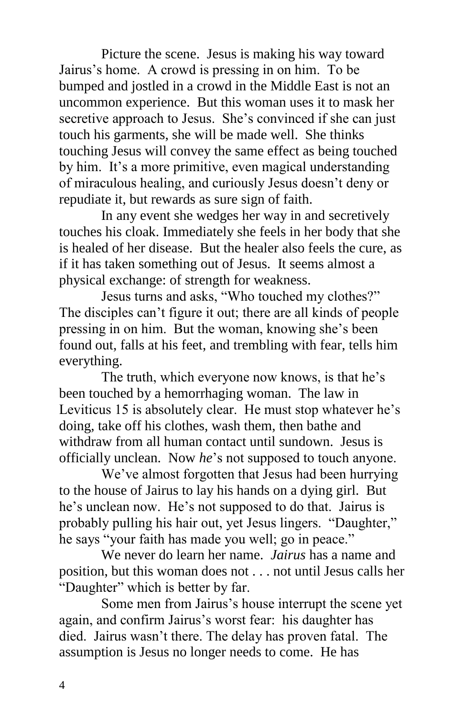Picture the scene. Jesus is making his way toward Jairus's home. A crowd is pressing in on him. To be bumped and jostled in a crowd in the Middle East is not an uncommon experience. But this woman uses it to mask her secretive approach to Jesus. She's convinced if she can just touch his garments, she will be made well. She thinks touching Jesus will convey the same effect as being touched by him. It's a more primitive, even magical understanding of miraculous healing, and curiously Jesus doesn't deny or repudiate it, but rewards as sure sign of faith.

In any event she wedges her way in and secretively touches his cloak. Immediately she feels in her body that she is healed of her disease. But the healer also feels the cure, as if it has taken something out of Jesus. It seems almost a physical exchange: of strength for weakness.

Jesus turns and asks, "Who touched my clothes?" The disciples can't figure it out; there are all kinds of people pressing in on him. But the woman, knowing she's been found out, falls at his feet, and trembling with fear, tells him everything.

The truth, which everyone now knows, is that he's been touched by a hemorrhaging woman. The law in Leviticus 15 is absolutely clear. He must stop whatever he's doing, take off his clothes, wash them, then bathe and withdraw from all human contact until sundown. Jesus is officially unclean. Now *he*'s not supposed to touch anyone.

We've almost forgotten that Jesus had been hurrying to the house of Jairus to lay his hands on a dying girl. But he's unclean now. He's not supposed to do that. Jairus is probably pulling his hair out, yet Jesus lingers. "Daughter," he says "your faith has made you well; go in peace."

We never do learn her name. *Jairus* has a name and position, but this woman does not . . . not until Jesus calls her "Daughter" which is better by far.

Some men from Jairus's house interrupt the scene yet again, and confirm Jairus's worst fear: his daughter has died. Jairus wasn't there. The delay has proven fatal. The assumption is Jesus no longer needs to come. He has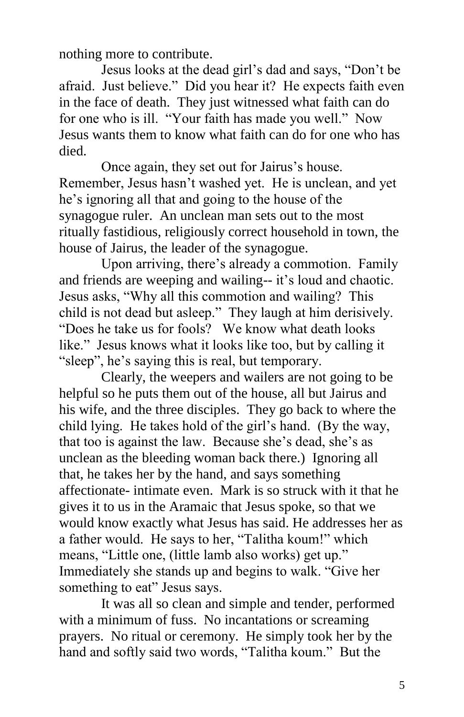nothing more to contribute.

Jesus looks at the dead girl's dad and says, "Don't be afraid. Just believe." Did you hear it? He expects faith even in the face of death. They just witnessed what faith can do for one who is ill. "Your faith has made you well." Now Jesus wants them to know what faith can do for one who has died.

Once again, they set out for Jairus's house. Remember, Jesus hasn't washed yet. He is unclean, and yet he's ignoring all that and going to the house of the synagogue ruler. An unclean man sets out to the most ritually fastidious, religiously correct household in town, the house of Jairus, the leader of the synagogue.

Upon arriving, there's already a commotion. Family and friends are weeping and wailing-- it's loud and chaotic. Jesus asks, "Why all this commotion and wailing? This child is not dead but asleep." They laugh at him derisively. "Does he take us for fools? We know what death looks like." Jesus knows what it looks like too, but by calling it "sleep", he's saying this is real, but temporary.

Clearly, the weepers and wailers are not going to be helpful so he puts them out of the house, all but Jairus and his wife, and the three disciples. They go back to where the child lying. He takes hold of the girl's hand. (By the way, that too is against the law. Because she's dead, she's as unclean as the bleeding woman back there.) Ignoring all that, he takes her by the hand, and says something affectionate- intimate even. Mark is so struck with it that he gives it to us in the Aramaic that Jesus spoke, so that we would know exactly what Jesus has said. He addresses her as a father would. He says to her, "Talitha koum!" which means, "Little one, (little lamb also works) get up." Immediately she stands up and begins to walk. "Give her something to eat" Jesus says.

It was all so clean and simple and tender, performed with a minimum of fuss. No incantations or screaming prayers. No ritual or ceremony. He simply took her by the hand and softly said two words, "Talitha koum." But the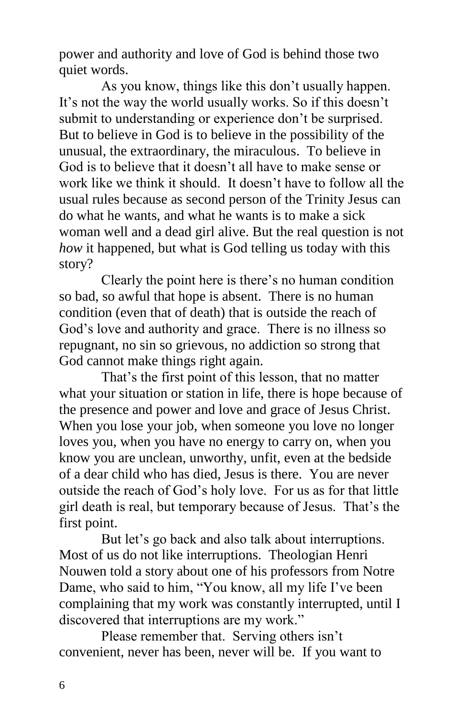power and authority and love of God is behind those two quiet words.

As you know, things like this don't usually happen. It's not the way the world usually works. So if this doesn't submit to understanding or experience don't be surprised. But to believe in God is to believe in the possibility of the unusual, the extraordinary, the miraculous. To believe in God is to believe that it doesn't all have to make sense or work like we think it should. It doesn't have to follow all the usual rules because as second person of the Trinity Jesus can do what he wants, and what he wants is to make a sick woman well and a dead girl alive. But the real question is not *how* it happened, but what is God telling us today with this story?

Clearly the point here is there's no human condition so bad, so awful that hope is absent. There is no human condition (even that of death) that is outside the reach of God's love and authority and grace. There is no illness so repugnant, no sin so grievous, no addiction so strong that God cannot make things right again.

That's the first point of this lesson, that no matter what your situation or station in life, there is hope because of the presence and power and love and grace of Jesus Christ. When you lose your job, when someone you love no longer loves you, when you have no energy to carry on, when you know you are unclean, unworthy, unfit, even at the bedside of a dear child who has died, Jesus is there. You are never outside the reach of God's holy love. For us as for that little girl death is real, but temporary because of Jesus. That's the first point.

But let's go back and also talk about interruptions. Most of us do not like interruptions. Theologian Henri Nouwen told a story about one of his professors from Notre Dame, who said to him, "You know, all my life I've been complaining that my work was constantly interrupted, until I discovered that interruptions are my work."

Please remember that. Serving others isn't convenient, never has been, never will be. If you want to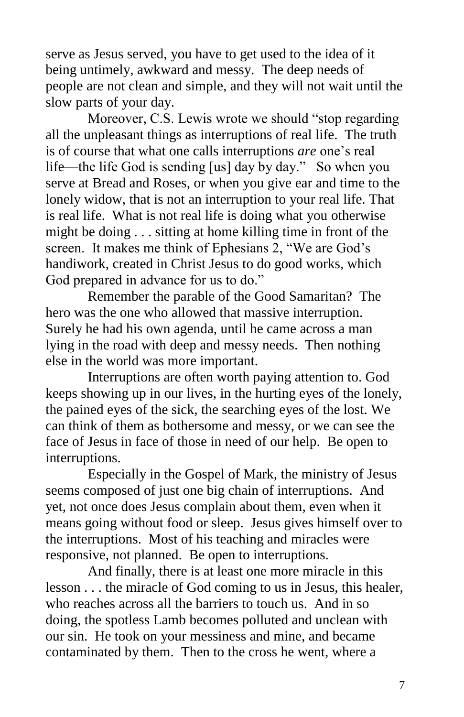serve as Jesus served, you have to get used to the idea of it being untimely, awkward and messy. The deep needs of people are not clean and simple, and they will not wait until the slow parts of your day.

Moreover, C.S. Lewis wrote we should "stop regarding all the unpleasant things as interruptions of real life. The truth is of course that what one calls interruptions *are* one's real life—the life God is sending [us] day by day." So when you serve at Bread and Roses, or when you give ear and time to the lonely widow, that is not an interruption to your real life. That is real life. What is not real life is doing what you otherwise might be doing . . . sitting at home killing time in front of the screen. It makes me think of Ephesians 2, "We are God's handiwork, created in Christ Jesus to do good works, which God prepared in advance for us to do."

Remember the parable of the Good Samaritan? The hero was the one who allowed that massive interruption. Surely he had his own agenda, until he came across a man lying in the road with deep and messy needs. Then nothing else in the world was more important.

Interruptions are often worth paying attention to. God keeps showing up in our lives, in the hurting eyes of the lonely, the pained eyes of the sick, the searching eyes of the lost. We can think of them as bothersome and messy, or we can see the face of Jesus in face of those in need of our help. Be open to interruptions.

Especially in the Gospel of Mark, the ministry of Jesus seems composed of just one big chain of interruptions. And yet, not once does Jesus complain about them, even when it means going without food or sleep. Jesus gives himself over to the interruptions. Most of his teaching and miracles were responsive, not planned. Be open to interruptions.

And finally, there is at least one more miracle in this lesson . . . the miracle of God coming to us in Jesus, this healer, who reaches across all the barriers to touch us. And in so doing, the spotless Lamb becomes polluted and unclean with our sin. He took on your messiness and mine, and became contaminated by them. Then to the cross he went, where a